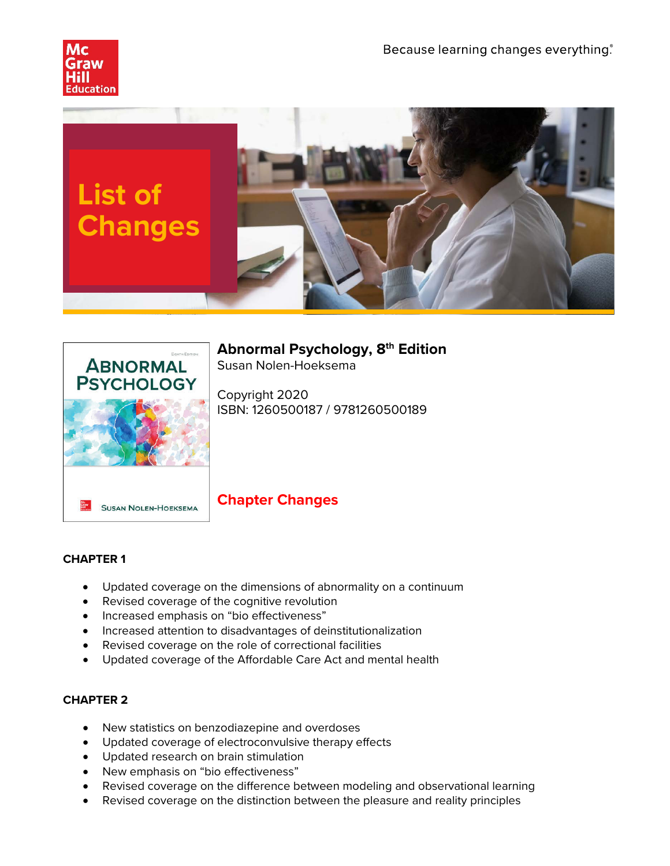





# **Abnormal Psychology, 8th Edition**

Susan Nolen-Hoeksema

Copyright 2020 ISBN: 1260500187 / 9781260500189

## **Chapter Changes**

## **CHAPTER 1**

- Updated coverage on the dimensions of abnormality on a continuum
- Revised coverage of the cognitive revolution
- Increased emphasis on "bio effectiveness"
- Increased attention to disadvantages of deinstitutionalization
- Revised coverage on the role of correctional facilities
- Updated coverage of the Affordable Care Act and mental health

- New statistics on benzodiazepine and overdoses
- Updated coverage of electroconvulsive therapy effects
- Updated research on brain stimulation
- New emphasis on "bio effectiveness"
- Revised coverage on the difference between modeling and observational learning
- Revised coverage on the distinction between the pleasure and reality principles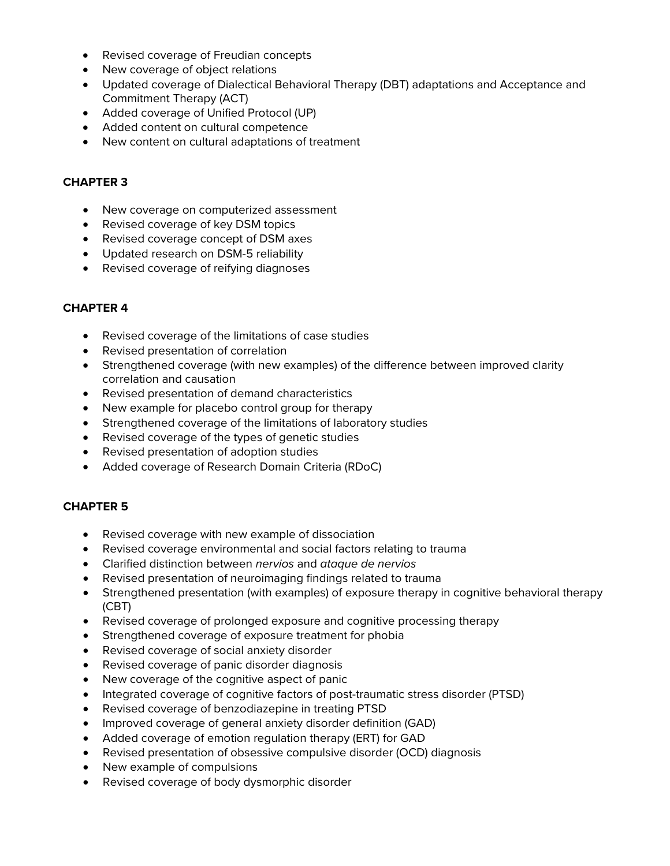- Revised coverage of Freudian concepts
- New coverage of object relations
- Updated coverage of Dialectical Behavioral Therapy (DBT) adaptations and Acceptance and Commitment Therapy (ACT)
- Added coverage of Unified Protocol (UP)
- Added content on cultural competence
- New content on cultural adaptations of treatment

- New coverage on computerized assessment
- Revised coverage of key DSM topics
- Revised coverage concept of DSM axes
- Updated research on DSM-5 reliability
- Revised coverage of reifying diagnoses

#### **CHAPTER 4**

- Revised coverage of the limitations of case studies
- Revised presentation of correlation
- Strengthened coverage (with new examples) of the difference between improved clarity correlation and causation
- Revised presentation of demand characteristics
- New example for placebo control group for therapy
- Strengthened coverage of the limitations of laboratory studies
- Revised coverage of the types of genetic studies
- Revised presentation of adoption studies
- Added coverage of Research Domain Criteria (RDoC)

- Revised coverage with new example of dissociation
- Revised coverage environmental and social factors relating to trauma
- Clarified distinction between *nervios* and *ataque de nervios*
- Revised presentation of neuroimaging findings related to trauma
- Strengthened presentation (with examples) of exposure therapy in cognitive behavioral therapy (CBT)
- Revised coverage of prolonged exposure and cognitive processing therapy
- Strengthened coverage of exposure treatment for phobia
- Revised coverage of social anxiety disorder
- Revised coverage of panic disorder diagnosis
- New coverage of the cognitive aspect of panic
- Integrated coverage of cognitive factors of post-traumatic stress disorder (PTSD)
- Revised coverage of benzodiazepine in treating PTSD
- Improved coverage of general anxiety disorder definition (GAD)
- Added coverage of emotion regulation therapy (ERT) for GAD
- Revised presentation of obsessive compulsive disorder (OCD) diagnosis
- New example of compulsions
- Revised coverage of body dysmorphic disorder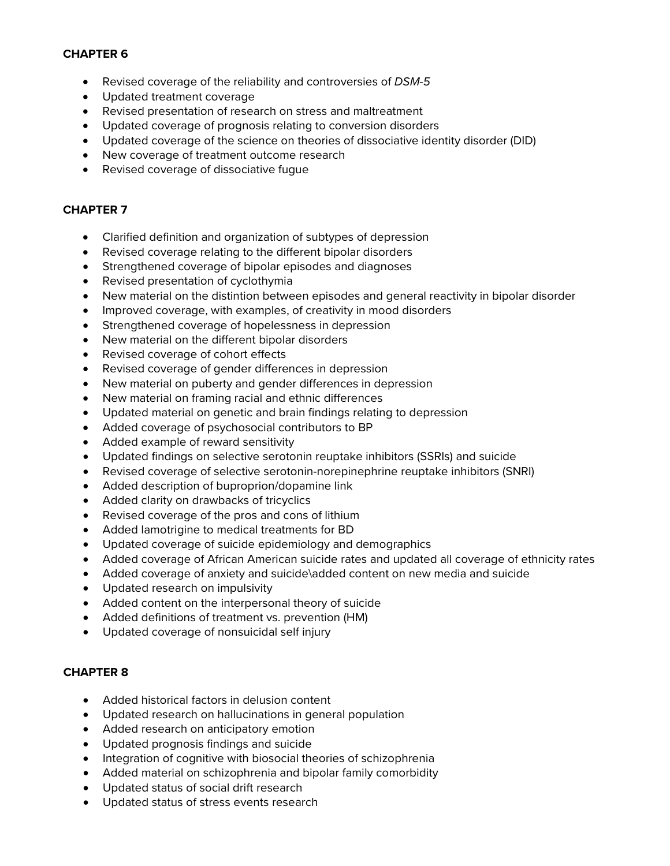- Revised coverage of the reliability and controversies of *DSM-5*
- Updated treatment coverage
- Revised presentation of research on stress and maltreatment
- Updated coverage of prognosis relating to conversion disorders
- Updated coverage of the science on theories of dissociative identity disorder (DID)
- New coverage of treatment outcome research
- Revised coverage of dissociative fugue

## **CHAPTER 7**

- Clarified definition and organization of subtypes of depression
- Revised coverage relating to the different bipolar disorders
- Strengthened coverage of bipolar episodes and diagnoses
- Revised presentation of cyclothymia
- New material on the distintion between episodes and general reactivity in bipolar disorder
- Improved coverage, with examples, of creativity in mood disorders
- Strengthened coverage of hopelessness in depression
- New material on the different bipolar disorders
- Revised coverage of cohort effects
- Revised coverage of gender differences in depression
- New material on puberty and gender differences in depression
- New material on framing racial and ethnic differences
- Updated material on genetic and brain findings relating to depression
- Added coverage of psychosocial contributors to BP
- Added example of reward sensitivity
- Updated findings on selective serotonin reuptake inhibitors (SSRIs) and suicide
- Revised coverage of selective serotonin-norepinephrine reuptake inhibitors (SNRI)
- Added description of buproprion/dopamine link
- Added clarity on drawbacks of tricyclics
- Revised coverage of the pros and cons of lithium
- Added lamotrigine to medical treatments for BD
- Updated coverage of suicide epidemiology and demographics
- Added coverage of African American suicide rates and updated all coverage of ethnicity rates
- Added coverage of anxiety and suicide\added content on new media and suicide
- Updated research on impulsivity
- Added content on the interpersonal theory of suicide
- Added definitions of treatment vs. prevention (HM)
- Updated coverage of nonsuicidal self injury

- Added historical factors in delusion content
- Updated research on hallucinations in general population
- Added research on anticipatory emotion
- Updated prognosis findings and suicide
- Integration of cognitive with biosocial theories of schizophrenia
- Added material on schizophrenia and bipolar family comorbidity
- Updated status of social drift research
- Updated status of stress events research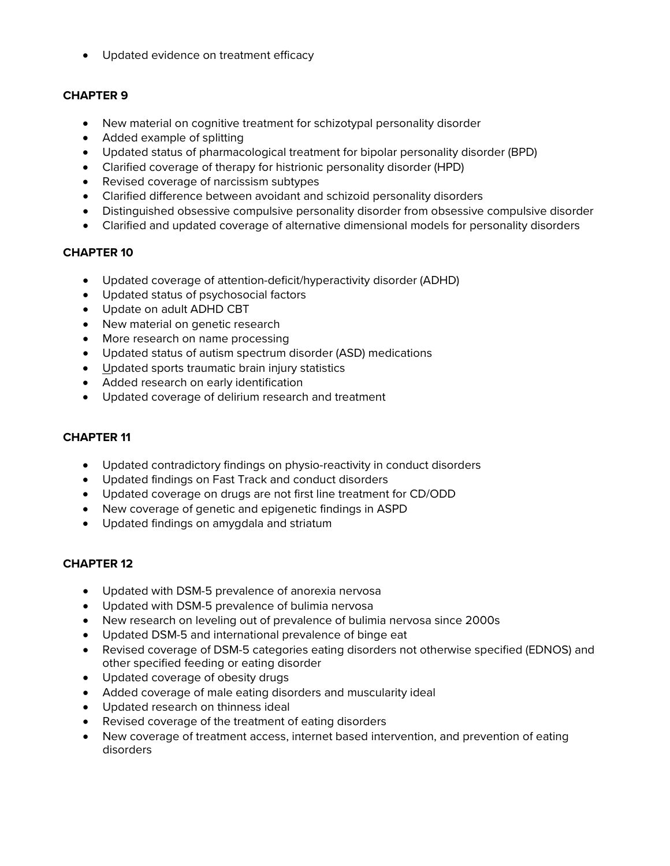• Updated evidence on treatment efficacy

## **CHAPTER 9**

- New material on cognitive treatment for schizotypal personality disorder
- Added example of splitting
- Updated status of pharmacological treatment for bipolar personality disorder (BPD)
- Clarified coverage of therapy for histrionic personality disorder (HPD)
- Revised coverage of narcissism subtypes
- Clarified difference between avoidant and schizoid personality disorders
- Distinguished obsessive compulsive personality disorder from obsessive compulsive disorder
- Clarified and updated coverage of alternative dimensional models for personality disorders

## **CHAPTER 10**

- Updated coverage of attention-deficit/hyperactivity disorder (ADHD)
- Updated status of psychosocial factors
- Update on adult ADHD CBT
- New material on genetic research
- More research on name processing
- Updated status of autism spectrum disorder (ASD) medications
- Updated sports traumatic brain injury statistics
- Added research on early identification
- Updated coverage of delirium research and treatment

#### **CHAPTER 11**

- Updated contradictory findings on physio-reactivity in conduct disorders
- Updated findings on Fast Track and conduct disorders
- Updated coverage on drugs are not first line treatment for CD/ODD
- New coverage of genetic and epigenetic findings in ASPD
- Updated findings on amygdala and striatum

- Updated with DSM-5 prevalence of anorexia nervosa
- Updated with DSM-5 prevalence of bulimia nervosa
- New research on leveling out of prevalence of bulimia nervosa since 2000s
- Updated DSM-5 and international prevalence of binge eat
- Revised coverage of DSM-5 categories eating disorders not otherwise specified (EDNOS) and other specified feeding or eating disorder
- Updated coverage of obesity drugs
- Added coverage of male eating disorders and muscularity ideal
- Updated research on thinness ideal
- Revised coverage of the treatment of eating disorders
- New coverage of treatment access, internet based intervention, and prevention of eating disorders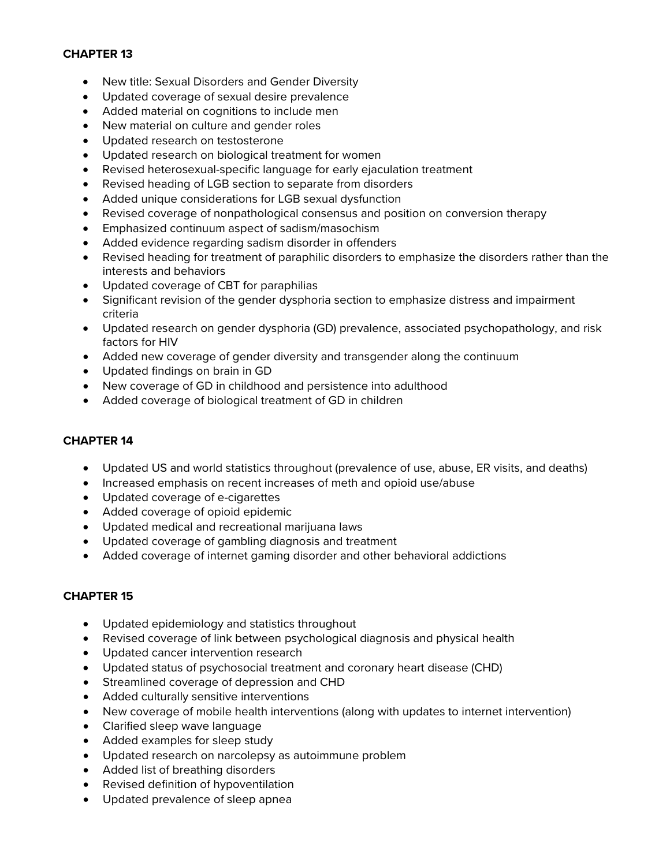- New title: Sexual Disorders and Gender Diversity
- Updated coverage of sexual desire prevalence
- Added material on cognitions to include men
- New material on culture and gender roles
- Updated research on testosterone
- Updated research on biological treatment for women
- Revised heterosexual-specific language for early ejaculation treatment
- Revised heading of LGB section to separate from disorders
- Added unique considerations for LGB sexual dysfunction
- Revised coverage of nonpathological consensus and position on conversion therapy
- Emphasized continuum aspect of sadism/masochism
- Added evidence regarding sadism disorder in offenders
- Revised heading for treatment of paraphilic disorders to emphasize the disorders rather than the interests and behaviors
- Updated coverage of CBT for paraphilias
- Significant revision of the gender dysphoria section to emphasize distress and impairment criteria
- Updated research on gender dysphoria (GD) prevalence, associated psychopathology, and risk factors for HIV
- Added new coverage of gender diversity and transgender along the continuum
- Updated findings on brain in GD
- New coverage of GD in childhood and persistence into adulthood
- Added coverage of biological treatment of GD in children

## **CHAPTER 14**

- Updated US and world statistics throughout (prevalence of use, abuse, ER visits, and deaths)
- Increased emphasis on recent increases of meth and opioid use/abuse
- Updated coverage of e-cigarettes
- Added coverage of opioid epidemic
- Updated medical and recreational marijuana laws
- Updated coverage of gambling diagnosis and treatment
- Added coverage of internet gaming disorder and other behavioral addictions

- Updated epidemiology and statistics throughout
- Revised coverage of link between psychological diagnosis and physical health
- Updated cancer intervention research
- Updated status of psychosocial treatment and coronary heart disease (CHD)
- Streamlined coverage of depression and CHD
- Added culturally sensitive interventions
- New coverage of mobile health interventions (along with updates to internet intervention)
- Clarified sleep wave language
- Added examples for sleep study
- Updated research on narcolepsy as autoimmune problem
- Added list of breathing disorders
- Revised definition of hypoventilation
- Updated prevalence of sleep apnea